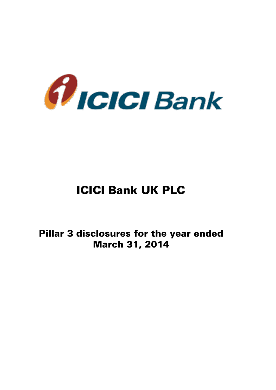

# ICICI Bank UK PLC

Pillar 3 disclosures for the year ended March 31, 2014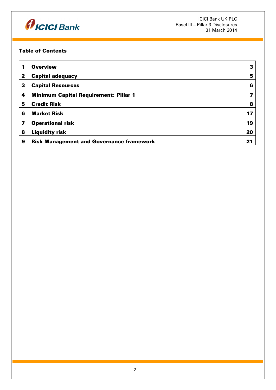

## Table of Contents

| 1 | <b>Overview</b>                                 | 3  |
|---|-------------------------------------------------|----|
| 2 | <b>Capital adequacy</b>                         | 5  |
| 3 | <b>Capital Resources</b>                        | 6  |
| 4 | <b>Minimum Capital Requirement: Pillar 1</b>    |    |
| 5 | <b>Credit Risk</b>                              | 8  |
| 6 | <b>Market Risk</b>                              | 17 |
| 7 | <b>Operational risk</b>                         | 19 |
| 8 | <b>Liquidity risk</b>                           | 20 |
| 9 | <b>Risk Management and Governance framework</b> |    |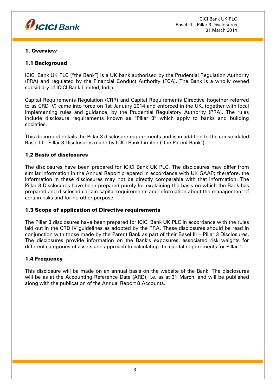

## 1. Overview

## 1.1 Background

ICICI Bank UK PLC ("the Bank") is a UK bank authorised by the Prudential Regulation Authority (PRA) and regulated by the Financial Conduct Authority (FCA). The Bank is a wholly owned subsidiary of ICICI Bank Limited, India.

Capital Requirements Regulation (CRR) and Capital Requirements Directive (together referred to as CRD IV) came into force on 1st January 2014 and enforced in the UK, together with local implementing rules and guidance, by the Prudential Regulatory Authority (PRA). The rules include disclosure requirements known as "Pillar 3" which apply to banks and building societies.

This document details the Pillar 3 disclosure requirements and is in addition to the consolidated Basel III – Pillar 3 Disclosures made by ICICI Bank Limited ("the Parent Bank").

## 1.2 Basis of disclosures

The disclosures have been prepared for ICICI Bank UK PLC. The disclosures may differ from similar information in the Annual Report prepared in accordance with UK GAAP; therefore, the information in these disclosures may not be directly comparable with that information. The Pillar 3 Disclosures have been prepared purely for explaining the basis on which the Bank has prepared and disclosed certain capital requirements and information about the management of certain risks and for no other purpose.

## 1.3 Scope of application of Directive requirements

The Pillar 3 disclosures have been prepared for ICICI Bank UK PLC in accordance with the rules laid out in the CRD IV guidelines as adopted by the PRA. These disclosures should be read in conjunction with those made by the Parent Bank as part of their Basel III – Pillar 3 Disclosures. The disclosures provide information on the Bank's exposures, associated risk weights for different categories of assets and approach to calculating the capital requirements for Pillar 1.

## 1.4 Frequency

This disclosure will be made on an annual basis on the website of the Bank. The disclosures will be as at the Accounting Reference Date (ARD), i.e. as at 31 March, and will be published along with the publication of the Annual Report & Accounts.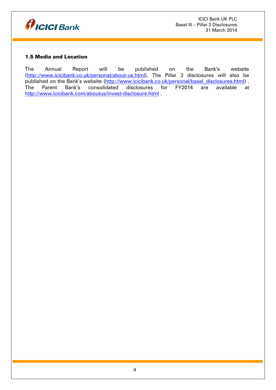

## 1.5 Media and Location

The Annual Report will be published on the Bank's website [\(http://www.icicibank.co.uk/personal/about-us.html\)](http://www.icicibank.co.uk/personal/about-us.html). The Pillar 3 disclosures will also be published on the Bank's website [\(http://www.icicibank.co.uk/personal/basel\\_disclosures.html\)](http://www.icicibank.co.uk/personal/basel_disclosures.html) . The Parent Bank's consolidated disclosures for FY2014 are available at <http://www.icicibank.com/aboutus/invest-disclosure.html> .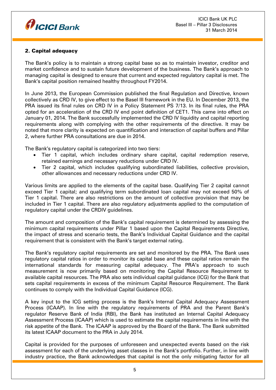

# 2. Capital adequacy

The Bank's policy is to maintain a strong capital base so as to maintain investor, creditor and market confidence and to sustain future development of the business. The Bank's approach to managing capital is designed to ensure that current and expected regulatory capital is met. The Bank's capital position remained healthy throughout FY2014.

In June 2013, the European Commission published the final Regulation and Directive, known collectively as CRD IV, to give effect to the Basel III framework in the EU. In December 2013, the PRA issued its final rules on CRD IV in a Policy Statement PS 7/13. In its final rules, the PRA opted for an acceleration of the CRD IV end point definition of CET1. This came into effect on January 01, 2014. The Bank successfully implemented the CRD IV liquidity and capital reporting requirements along with complying with the other requirements of the directive. It may be noted that more clarity is expected on quantification and interaction of capital buffers and Pillar 2, where further PRA consultations are due in 2014.

The Bank's regulatory capital is categorized into two tiers:

- Tier 1 capital, which includes ordinary share capital, capital redemption reserve, retained earnings and necessary reductions under CRD IV.
- Tier 2 capital, which includes qualifying subordinated liabilities, collective provision, other allowances and necessary reductions under CRD IV.

Various limits are applied to the elements of the capital base. Qualifying Tier 2 capital cannot exceed Tier 1 capital; and qualifying term subordinated loan capital may not exceed 50% of Tier 1 capital. There are also restrictions on the amount of collective provision that may be included in Tier 1 capital. There are also regulatory adjustments applied to the computation of regulatory capital under the CRDIV guidelines.

The amount and composition of the Bank's capital requirement is determined by assessing the minimum capital requirements under Pillar 1 based upon the Capital Requirements Directive, the impact of stress and scenario tests, the Bank's Individual Capital Guidance and the capital requirement that is consistent with the Bank's target external rating.

The Bank's regulatory capital requirements are set and monitored by the PRA. The Bank uses regulatory capital ratios in order to monitor its capital base and these capital ratios remain the international standards for measuring capital adequacy. The PRA's approach to such measurement is now primarily based on monitoring the Capital Resource Requirement to available capital resources. The PRA also sets individual capital guidance (ICG) for the Bank that sets capital requirements in excess of the minimum Capital Resource Requirement. The Bank continues to comply with the Individual Capital Guidance (ICG).

A key input to the ICG setting process is the Bank's Internal Capital Adequacy Assessment Process (ICAAP). In line with the regulatory requirements of PRA and the Parent Bank's regulator Reserve Bank of India (RBI), the Bank has instituted an Internal Capital Adequacy Assessment Process (ICAAP) which is used to estimate the capital requirements in line with the risk appetite of the Bank. The ICAAP is approved by the Board of the Bank. The Bank submitted its latest ICAAP document to the PRA in July 2014.

Capital is provided for the purposes of unforeseen and unexpected events based on the risk assessment for each of the underlying asset classes in the Bank's portfolio. Further, in line with industry practice, the Bank acknowledges that capital is not the only mitigating factor for all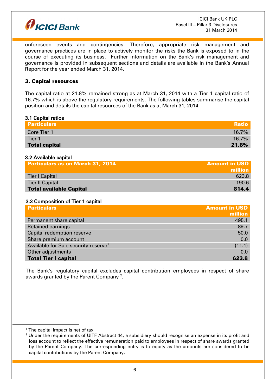

unforeseen events and contingencies. Therefore, appropriate risk management and governance practices are in place to actively monitor the risks the Bank is exposed to in the course of executing its business. Further information on the Bank's risk management and governance is provided in subsequent sections and details are available in the Bank's Annual Report for the year ended March 31, 2014.

## 3. Capital resources

The capital ratio at 21.8% remained strong as at March 31, 2014 with a Tier 1 capital ratio of 16.7% which is above the regulatory requirements. The following tables summarise the capital position and details the capital resources of the Bank as at March 31, 2014.

#### 3.1 Capital ratios

| <b>Particulars</b>   | <b>Ratio</b> |
|----------------------|--------------|
| Core Tier 1          | 16.7%        |
| Tier 1               | $16.7\%$     |
| <b>Total capital</b> | 21.8%        |

#### 3.2 Available capital

| <b>Particulars as on March 31, 2014</b> | <b>Amount in USD</b> |
|-----------------------------------------|----------------------|
|                                         | million              |
| Tier I Capital                          | 623.8                |
| <b>Tier II Capital</b>                  | <b>190.6</b>         |
| Total available Capital                 | 814.4                |

#### 3.3 Composition of Tier 1 capital

| <b>Particulars</b>                               | <b>Amount in USD</b> |
|--------------------------------------------------|----------------------|
|                                                  | million              |
| Permanent share capital                          | 495.1                |
| <b>Retained earnings</b>                         | 89.7                 |
| Capital redemption reserve                       | 50.0                 |
| Share premium account                            | 0.0                  |
| Available for Sale security reserve <sup>1</sup> | (11.1)               |
| Other adjustments                                | 0.0                  |
| <b>Total Tier I capital</b>                      | 623.8                |

The Bank's regulatory capital excludes capital contribution employees in respect of share awards granted by the Parent Company  $^{\rm 2}.$ 

1

 $1$  The capital impact is net of tax

<sup>&</sup>lt;sup>2</sup> Under the requirements of UITF Abstract 44, a subsidiary should recognise an expense in its profit and loss account to reflect the effective remuneration paid to employees in respect of share awards granted by the Parent Company. The corresponding entry is to equity as the amounts are considered to be capital contributions by the Parent Company.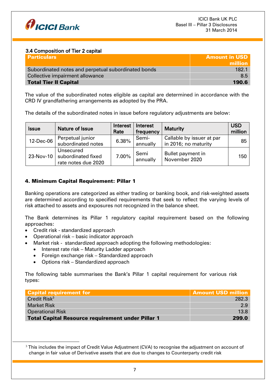

## 3.4 Composition of Tier 2 capital

| <b>Particulars</b>                                  | <b>Amount in USD</b> |
|-----------------------------------------------------|----------------------|
|                                                     | million              |
| Subordinated notes and perpetual subordinated bonds | 182.1                |
| Collective impairment allowance                     | 8.5                  |
| <b>Total Tier II Capital</b>                        | 190.6                |

The value of the subordinated notes eligible as capital are determined in accordance with the CRD IV grandfathering arrangements as adopted by the PRA.

The details of the subordinated notes in issue before regulatory adjustments are below:

| <b>Issue</b> | Nature of Issue                                        | Interest<br>Rate | Interest<br>frequency | <b>Maturity</b>                                   | <b>USD</b><br>million |
|--------------|--------------------------------------------------------|------------------|-----------------------|---------------------------------------------------|-----------------------|
| 12-Dec-06    | Perpetual junior<br>subordinated notes                 | 6.38%            | Semi-<br>annually     | Callable by issuer at par<br>in 2016; no maturity | 85                    |
| 23-Nov-10    | Unsecured<br>subordinated fixed<br>rate notes due 2020 | 7.00%            | Semi<br>annually      | Bullet payment in<br>November 2020                | 150                   |

## 4. Minimum Capital Requirement: Pillar 1

Banking operations are categorized as either trading or banking book, and risk-weighted assets are determined according to specified requirements that seek to reflect the varying levels of risk attached to assets and exposures not recognized in the balance sheet.

The Bank determines its Pillar 1 regulatory capital requirement based on the following approaches:

Credit risk - standardized approach

<u>.</u>

- Operational risk basic indicator approach
	- Market risk standardized approach adopting the following methodologies:
		- Interest rate risk Maturity Ladder approach
	- Foreign exchange risk Standardized approach
	- Options risk Standardized approach

The following table summarises the Bank's Pillar 1 capital requirement for various risk types:

| <b>Capital requirement for</b>                           | <b>Amount USD million</b> |
|----------------------------------------------------------|---------------------------|
| Credit Risk $3$                                          | 282.3                     |
| <b>Market Risk</b>                                       | 2.9                       |
| <b>Operational Risk</b>                                  | 13.8                      |
| <b>Total Capital Resource requirement under Pillar 1</b> | 299.0                     |

 $3$  This includes the impact of Credit Value Adjustment (CVA) to recognise the adjustment on account of change in fair value of Derivative assets that are due to changes to Counterparty credit risk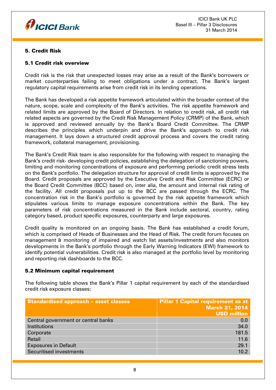

## 5. Credit Risk

## 5.1 Credit risk overview

Credit risk is the risk that unexpected losses may arise as a result of the Bank's borrowers or market counterparties failing to meet obligations under a contract. The Bank's largest regulatory capital requirements arise from credit risk in its lending operations.

The Bank has developed a risk appetite framework articulated within the broader context of the nature, scope, scale and complexity of the Bank's activities. The risk appetite framework and related limits are approved by the Board of Directors. In relation to credit risk, all credit risk related aspects are governed by the Credit Risk Management Policy (CRMP) of the Bank, which is approved and reviewed annually by the Bank's Board Credit Committee. The CRMP describes the principles which underpin and drive the Bank's approach to credit risk management. It lays down a structured credit approval process and covers the credit rating framework, collateral management, provisioning.

The Bank's Credit Risk team is also responsible for the following with respect to managing the Bank's credit risk- developing credit policies, establishing the delegation of sanctioning powers, limiting and monitoring concentrations of exposure and performing periodic credit stress tests on the Bank's portfolio. The delegation structure for approval of credit limits is approved by the Board. Credit proposals are approved by the Executive Credit and Risk Committee (ECRC) or the Board Credit Committee (BCC) based on, inter alia, the amount and internal risk rating of the facility. All credit proposals put up to the BCC are passed through the ECRC. The concentration risk in the Bank's portfolio is governed by the risk appetite framework which stipulates various limits to manage exposure concentrations within the Bank. The key parameters of risk concentrations measured in the Bank include sectoral, country, rating category based, product specific exposures, counterparty and large exposures.

Credit quality is monitored on an ongoing basis. The Bank has established a credit forum, which is comprised of Heads of Businesses and the Head of Risk. The credit forum focuses on management & monitoring of impaired and watch list assets/investments and also monitors developments in the Bank's portfolio through the Early Warning Indicators (EWI) framework to identify potential vulnerabilities. Credit risk is also managed at the portfolio level by monitoring and reporting risk dashboards to the BCC.

## 5.2 Minimum capital requirement

The following table shows the Bank's Pillar 1 capital requirement by each of the standardised credit risk exposure classes:

| <b>Standardised approach - asset classes</b> | <b>Pillar 1 Capital requirement as at</b><br><b>March 31, 2014</b><br><b>USD million</b> |
|----------------------------------------------|------------------------------------------------------------------------------------------|
| Central government or central banks          | 0.0                                                                                      |
| Institutions                                 | 34.0                                                                                     |
| Corporate                                    | 181.5                                                                                    |
| Retail                                       | 11.6                                                                                     |
| <b>Exposures in Default</b>                  | 29.1                                                                                     |
| <b>Securitised investments</b>               | 10.2                                                                                     |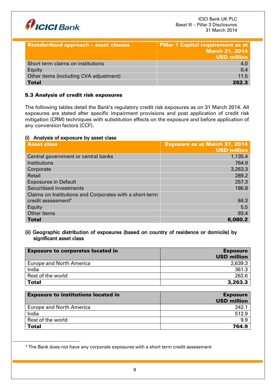

| <b>Standardised approach - asset classes</b> | <b>Pillar 1 Capital requirement as at</b><br><b>March 31, 2014</b><br><b>USD million</b> |
|----------------------------------------------|------------------------------------------------------------------------------------------|
| Short term claims on institutions            | 4.0                                                                                      |
| Equity                                       | 0.4                                                                                      |
| Other items (including CVA adjustment)       | 11.5                                                                                     |
| <b>Total</b>                                 | 2823                                                                                     |

## 5.3 Analysis of credit risk exposures

The following tables detail the Bank's regulatory credit risk exposures as on 31 March 2014. All exposures are stated after specific impairment provisions and post application of credit risk mitigation (CRM) techniques with substitution effects on the exposure and before application of any conversion factors (CCF).

## (i) Analysis of exposure by asset class

1

| <b>Asset class</b>                                      | <b>Exposure as at March 31, 2014</b> |
|---------------------------------------------------------|--------------------------------------|
|                                                         | <b>USD million</b>                   |
| Central government or central banks                     | 1,135.4                              |
| Institutions                                            | 764.9                                |
| Corporate                                               | 3,263.3                              |
| Retail                                                  | 289.2                                |
| <b>Exposures in Default</b>                             | 257.3                                |
| <b>Securitised investments</b>                          | 186.8                                |
| Claims on Institutions and Corporates with a short-term |                                      |
| credit assessment <sup>4</sup>                          | 84.3                                 |
| Equity                                                  | 5.5                                  |
| Other items                                             | 93.4                                 |
| <b>Total</b>                                            | 6,080.2                              |

## (ii) Geographic distribution of exposures (based on country of residence or domicile) by significant asset class

| <b>Exposure to corporates located in</b> | <b>Exposure</b><br><b>USD million</b> |
|------------------------------------------|---------------------------------------|
| <b>Europe and North America</b>          | 2,639.3                               |
| India                                    | 361.3                                 |
| Rest of the world                        | 262.6                                 |
| <b>Total</b>                             | 3,263.3                               |

| <b>Exposure to institutions located in</b> | <b>Exposure</b><br><b>USD million</b> |
|--------------------------------------------|---------------------------------------|
| <b>Europe and North America</b>            | 242.7                                 |
| India                                      | 512.9                                 |
| Rest of the world                          | 9.9                                   |
| <b>Total</b>                               | 764.9                                 |

<sup>&</sup>lt;sup>4</sup> The Bank does not have any corporate exposures with a short term credit assessment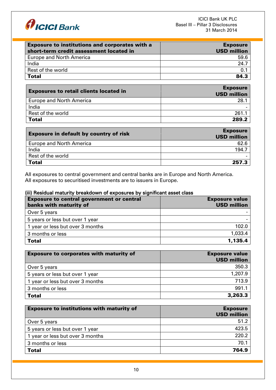

| <b>Exposure to institutions and corporates with a</b><br>short-term credit assessment located in | <b>Exposure</b><br><b>USD million</b> |
|--------------------------------------------------------------------------------------------------|---------------------------------------|
| <b>Europe and North America</b>                                                                  | 59.6                                  |
| India                                                                                            | 24.7                                  |
| Rest of the world                                                                                | 0.1                                   |
| <b>Total</b>                                                                                     | 84 3                                  |
|                                                                                                  |                                       |

| <b>Exposures to retail clients located in</b> | <b>Exposure</b><br><b>USD million</b> |
|-----------------------------------------------|---------------------------------------|
| <b>Europe and North America</b>               | 28.                                   |
| India                                         |                                       |
| Rest of the world                             | 261                                   |
| <b>Total</b>                                  | 289.2                                 |

| <b>Exposure in default by country of risk</b> | <b>Exposure</b><br><b>USD million</b> |
|-----------------------------------------------|---------------------------------------|
| <b>Europe and North America</b>               | 62.6                                  |
| India                                         | 194.7                                 |
| Rest of the world                             |                                       |
| <b>Total</b>                                  | 257.3                                 |

All exposures to central government and central banks are in Europe and North America. All exposures to securitised investments are to issuers in Europe.

# (iii) Residual maturity breakdown of exposures by significant asset class

| <b>Exposure to central government or central</b><br>banks with maturity of | <b>Exposure value</b><br><b>USD million</b> |
|----------------------------------------------------------------------------|---------------------------------------------|
| Over 5 years                                                               |                                             |
| 5 years or less but over 1 year                                            |                                             |
| 1 year or less but over 3 months                                           | 102.0                                       |
| 3 months or less                                                           | 1,033.4                                     |
| <b>Total</b>                                                               | 1,135.4                                     |

| <b>Exposure to corporates with maturity of</b> | <b>Exposure value</b><br><b>USD million</b> |
|------------------------------------------------|---------------------------------------------|
| Over 5 years                                   | 350.3                                       |
| 5 years or less but over 1 year                | 1,207.9                                     |
| 1 year or less but over 3 months               | 713.9                                       |
| 3 months or less                               | 991.1                                       |
| <b>Total</b>                                   | 3,263.3                                     |

| <b>Exposure to institutions with maturity of</b> | <b>Exposure</b><br><b>USD million</b> |
|--------------------------------------------------|---------------------------------------|
| Over 5 years                                     | 51.2                                  |
| 5 years or less but over 1 year                  | 423.5                                 |
| 1 year or less but over 3 months                 | 220.2                                 |
| 3 months or less                                 | 70.1                                  |
| <b>Total</b>                                     | 764.9                                 |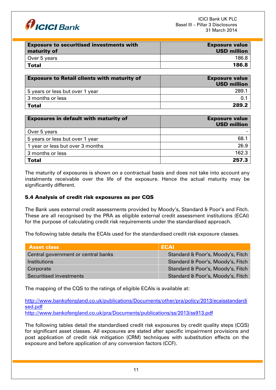

| <b>Exposure to securitised investments with</b><br>maturity of | <b>Exposure value</b><br><b>USD million</b> |
|----------------------------------------------------------------|---------------------------------------------|
| Over 5 years                                                   | 186.8                                       |
| Total                                                          | 186.8                                       |
|                                                                |                                             |

| <b>Exposure to Retail clients with maturity of</b> | <b>Exposure value</b><br><b>USD million</b> |
|----------------------------------------------------|---------------------------------------------|
| 5 years or less but over 1 year                    | 289.                                        |
| 3 months or less                                   |                                             |
| <b>Total</b>                                       | 289.2                                       |

| <b>Exposures in default with maturity of</b> | <b>Exposure value</b><br><b>USD million</b> |
|----------------------------------------------|---------------------------------------------|
| Over 5 years                                 |                                             |
| 5 years or less but over 1 year              | 68.1                                        |
| 1 year or less but over 3 months             | 26.9                                        |
| 3 months or less                             | 162.3                                       |
| <b>Total</b>                                 | 257.3                                       |

The maturity of exposures is shown on a contractual basis and does not take into account any instalments receivable over the life of the exposure. Hence the actual maturity may be significantly different.

## 5.4 Analysis of credit risk exposures as per CQS

The Bank uses external credit assessments provided by Moody's, Standard & Poor's and Fitch. These are all recognised by the PRA as eligible external credit assessment institutions (ECAI) for the purpose of calculating credit risk requirements under the standardised approach.

The following table details the ECAIs used for the standardised credit risk exposure classes.

| <b>Asset class</b>                  | ECAI                              |
|-------------------------------------|-----------------------------------|
| Central government or central banks | Standard & Poor's, Moody's, Fitch |
| Institutions                        | Standard & Poor's, Moody's, Fitch |
| Corporate                           | Standard & Poor's, Moody's, Fitch |
| Securitised investments             | Standard & Poor's, Moody's, Fitch |

The mapping of the CQS to the ratings of eligible ECAIs is available at:

[http://www.bankofengland.co.uk/publications/Documents/other/pra/policy/2013/ecaisstandardi](http://www.bankofengland.co.uk/publications/Documents/other/pra/policy/2013/ecaisstandardised.pdf) [sed.pdf](http://www.bankofengland.co.uk/publications/Documents/other/pra/policy/2013/ecaisstandardised.pdf)

<http://www.bankofengland.co.uk/pra/Documents/publications/ss/2013/ss913.pdf>

The following tables detail the standardised credit risk exposures by credit quality steps (CQS) for significant asset classes. All exposures are stated after specific impairment provisions and post application of credit risk mitigation (CRM) techniques with substitution effects on the exposure and before application of any conversion factors (CCF).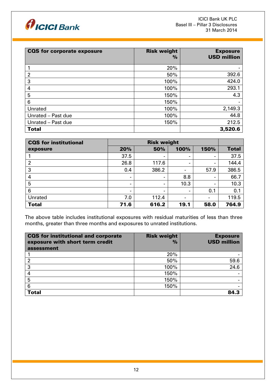

| <b>CQS</b> for corporate exposure | <b>Risk weight</b><br>$\%$ | <b>Exposure</b><br><b>USD million</b> |
|-----------------------------------|----------------------------|---------------------------------------|
|                                   | 20%                        |                                       |
| $\overline{2}$                    | 50%                        | 392.6                                 |
| 3                                 | 100%                       | 424.0                                 |
| 4                                 | 100%                       | 293.1                                 |
| 5                                 | 150%                       | 4.3                                   |
| 6                                 | 150%                       |                                       |
| Unrated                           | 100%                       | 2,149.3                               |
| Unrated - Past due                | 100%                       | 44.8                                  |
| Unrated - Past due                | 150%                       | 212.5                                 |
| <b>Total</b>                      |                            | 3,520.6                               |

| <b>CQS</b> for institutional | <b>Risk weight</b>       |                          |                          |                |              |
|------------------------------|--------------------------|--------------------------|--------------------------|----------------|--------------|
| exposure                     | 20%                      | 50%                      | 100%                     | 150%           | <b>Total</b> |
|                              | 37.5                     | $\overline{\phantom{a}}$ | $\overline{\phantom{a}}$ | $\blacksquare$ | 37.5         |
| $\overline{2}$               | 26.8                     | 117.6                    | $\blacksquare$           |                | 144.4        |
| 3                            | 0.4                      | 386.2                    |                          | 57.9           | 386.5        |
| 4                            | -                        | $\blacksquare$           | 8.8                      | $\blacksquare$ | 66.7         |
| 5                            | -                        | -                        | 10.3                     |                | 10.3         |
| 6                            | $\overline{\phantom{0}}$ | $\blacksquare$           | $\,$                     | 0.1            | 0.1          |
| Unrated                      | 7.0                      | 112.4                    | $\blacksquare$           |                | 119.5        |
| <b>Total</b>                 | 71.6                     | 616.2                    | 19.1                     | 58.0           | 764.9        |

The above table includes institutional exposures with residual maturities of less than three months, greater than three months and exposures to unrated institutions.

| CQS for institutional and corporate<br>exposure with short term credit<br>assessment | <b>Risk weight</b><br>$\frac{9}{6}$ | <b>Exposure</b><br><b>USD million</b> |
|--------------------------------------------------------------------------------------|-------------------------------------|---------------------------------------|
|                                                                                      | 20%                                 |                                       |
| 2                                                                                    | 50%                                 | 59.6                                  |
| 3                                                                                    | 100%                                | 24.6                                  |
|                                                                                      | 150%                                |                                       |
| 5                                                                                    | 150%                                |                                       |
| 6                                                                                    | 150%                                |                                       |
| <b>Total</b>                                                                         |                                     | 84.3                                  |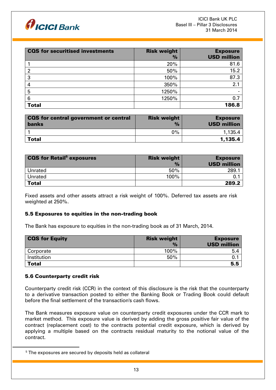

| <b>CQS</b> for securitised investments | <b>Risk weight</b><br>% | <b>Exposure</b><br><b>USD million</b> |
|----------------------------------------|-------------------------|---------------------------------------|
|                                        | 20%                     | 81.6                                  |
| 2                                      | 50%                     | 15.2                                  |
| 3                                      | 100%                    | 87.3                                  |
| 4                                      | 350%                    | 2.1                                   |
| 5                                      | 1250%                   |                                       |
| 6                                      | 1250%                   | 0.7                                   |
| <b>Total</b>                           |                         | 186.8                                 |

| CQS for central government or central<br><b>banks</b> | <b>Risk weight</b><br>$\frac{9}{6}$ | <b>Exposure</b><br><b>USD million</b> |
|-------------------------------------------------------|-------------------------------------|---------------------------------------|
|                                                       | $9\%$                               | 1.135.4                               |
| Total                                                 |                                     | 1,135.4                               |

| <b>CQS for Retail<sup>5</sup> exposures</b> | <b>Risk weight</b> | <b>Exposure</b>    |
|---------------------------------------------|--------------------|--------------------|
|                                             | $\frac{9}{6}$      | <b>USD million</b> |
| Unrated                                     | 50%                | 289.1              |
| Unrated                                     | 100%               |                    |
| <b>Total</b>                                |                    | 289.2              |

Fixed assets and other assets attract a risk weight of 100%. Deferred tax assets are risk weighted at 250%.

## 5.5 Exposures to equities in the non-trading book

The Bank has exposure to equities in the non-trading book as of 31 March, 2014.

| <b>CQS for Equity</b> | <b>Risk weight</b> | <b>Exposure</b>    |
|-----------------------|--------------------|--------------------|
|                       | $\frac{9}{6}$      | <b>USD million</b> |
| Corporate             | 100%               | 5.4                |
| Institution           | 50%                |                    |
| <b>Total</b>          |                    | 5.5                |

## 5.6 Counterparty credit risk

1

Counterparty credit risk (CCR) in the context of this disclosure is the risk that the counterparty to a derivative transaction posted to either the Banking Book or Trading Book could default before the final settlement of the transaction's cash flows.

The Bank measures exposure value on counterparty credit exposures under the CCR mark to market method. This exposure value is derived by adding the gross positive fair value of the contract (replacement cost) to the contracts potential credit exposure, which is derived by applying a multiple based on the contracts residual maturity to the notional value of the contract.

<sup>&</sup>lt;sup>5</sup> The exposures are secured by deposits held as collateral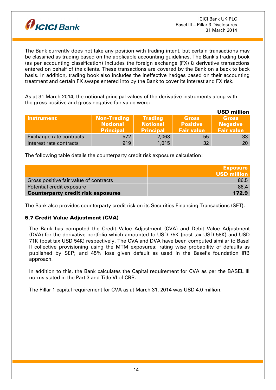

The Bank currently does not take any position with trading intent, but certain transactions may be classified as trading based on the applicable accounting guidelines. The Bank's trading book (as per accounting classification) includes the foreign exchange (FX) & derivative transactions entered on behalf of the clients. These transactions are covered by the Bank on a back to back basis. In addition, trading book also includes the ineffective hedges based on their accounting treatment and certain FX swaps entered into by the Bank to cover its interest and FX risk.

As at 31 March 2014, the notional principal values of the derivative instruments along with the gross positive and gross negative fair value were:

|                         |                                                           |                                                       |                                                      | <b>USD million</b>                                   |
|-------------------------|-----------------------------------------------------------|-------------------------------------------------------|------------------------------------------------------|------------------------------------------------------|
| <b>Instrument</b>       | <b>Non-Trading</b><br><b>Notional</b><br><b>Principal</b> | <b>Trading</b><br><b>Notional</b><br><b>Principal</b> | <b>Gross</b><br><b>Positive</b><br><b>Fair value</b> | <b>Gross</b><br><b>Negative</b><br><b>Fair value</b> |
| Exchange rate contracts | 572                                                       | 2,063                                                 | 55                                                   |                                                      |
| Interest rate contracts | 919                                                       | 1,015                                                 | 32                                                   | 20                                                   |

The following table details the counterparty credit risk exposure calculation:

|                                           | <b>Exposure</b>    |
|-------------------------------------------|--------------------|
|                                           | <b>USD million</b> |
| Gross positive fair value of contracts    | 86.5               |
| Potential credit exposure                 | 86.4               |
| <b>Counterparty credit risk exposures</b> | 172.9              |

The Bank also provides counterparty credit risk on its Securities Financing Transactions (SFT).

## 5.7 Credit Value Adjustment (CVA)

The Bank has computed the Credit Value Adjustment (CVA) and Debit Value Adjustment (DVA) for the derivative portfolio which amounted to USD 75K (post tax USD 58K) and USD 71K (post tax USD 54K) respectively. The CVA and DVA have been computed similar to Basel II collective provisioning using the MTM exposures; rating wise probability of defaults as published by S&P; and 45% loss given default as used in the Basel's foundation IRB approach.

In addition to this, the Bank calculates the Capital requirement for CVA as per the BASEL III norms stated in the Part 3 and Title VI of CRR.

The Pillar 1 capital requirement for CVA as at March 31, 2014 was USD 4.0 million.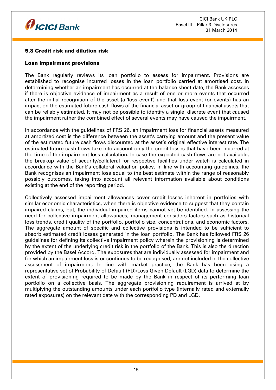

## 5.8 Credit risk and dilution risk

## Loan impairment provisions

The Bank regularly reviews its loan portfolio to assess for impairment. Provisions are established to recognise incurred losses in the loan portfolio carried at amortised cost. In determining whether an impairment has occurred at the balance sheet date, the Bank assesses if there is objective evidence of impairment as a result of one or more events that occurred after the initial recognition of the asset (a 'loss event') and that loss event (or events) has an impact on the estimated future cash flows of the financial asset or group of financial assets that can be reliably estimated. It may not be possible to identify a single, discrete event that caused the impairment rather the combined effect of several events may have caused the impairment.

In accordance with the guidelines of FRS 26, an impairment loss for financial assets measured at amortized cost is the difference between the asset's carrying amount and the present value of the estimated future cash flows discounted at the asset's original effective interest rate. The estimated future cash flows take into account only the credit losses that have been incurred at the time of the impairment loss calculation. In case the expected cash flows are not available, the breakup value of security/collateral for respective facilities under watch is calculated in accordance with the Bank's collateral valuation policy. In line with accounting guidelines, the Bank recognises an impairment loss equal to the best estimate within the range of reasonably possibly outcomes, taking into account all relevant information available about conditions existing at the end of the reporting period.

Collectively assessed impairment allowances cover credit losses inherent in portfolios with similar economic characteristics, when there is objective evidence to suggest that they contain impaired claims, but, the individual impaired items cannot yet be identified. In assessing the need for collective impairment allowances, management considers factors such as historical loss trends, credit quality of the portfolio, portfolio size, concentrations, and economic factors. The aggregate amount of specific and collective provisions is intended to be sufficient to absorb estimated credit losses generated in the loan portfolio. The Bank has followed FRS 26 guidelines for defining its collective impairment policy wherein the provisioning is determined by the extent of the underlying credit risk in the portfolio of the Bank. This is also the direction provided by the Basel Accord. The exposures that are individually assessed for impairment and for which an impairment loss is or continues to be recognised, are not included in the collective assessment of impairment. In line with market practice, the Bank has been using a representative set of Probability of Default (PD)/Loss Given Default (LGD) data to determine the extent of provisioning required to be made by the Bank in respect of its performing loan portfolio on a collective basis. The aggregate provisioning requirement is arrived at by multiplying the outstanding amounts under each portfolio type (internally rated and externally rated exposures) on the relevant date with the corresponding PD and LGD.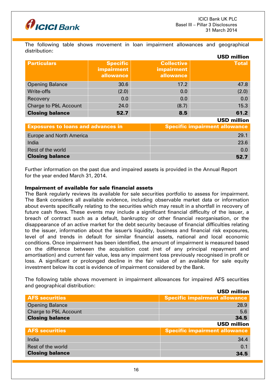



The following table shows movement in loan impairment allowances and geographical distribution:

|                                  |                                            |                                                     | <b>USD million</b> |
|----------------------------------|--------------------------------------------|-----------------------------------------------------|--------------------|
| <b>Particulars</b>               | <b>Specific</b><br>impairment<br>allowance | <b>Collective</b><br><b>impairment</b><br>allowance | <b>Total</b>       |
| <b>Opening Balance</b>           | 30.6                                       | 17.2                                                | 47.8               |
| Write-offs                       | (2.0)                                      | 0.0                                                 | (2.0)              |
| Recovery                         | 0.0                                        | 0.0                                                 | 0.0                |
| <b>Charge to P&amp;L Account</b> | 24.0                                       | (8.7)                                               | 15.3               |
| <b>Closing balance</b>           | 52.7                                       | 8.5                                                 | 61.2               |

USD million

| <b>Exposures to loans and advances in</b> | <b>Specific impairment allowance</b> |
|-------------------------------------------|--------------------------------------|
| Europe and North America                  | 29.1                                 |
| India                                     | 23.6                                 |
| Rest of the world                         | 0.0                                  |
| <b>Closing balance</b>                    | 52 7                                 |

Further information on the past due and impaired assets is provided in the Annual Report for the year ended March 31, 2014.

#### Impairment of available for sale financial assets

The Bank regularly reviews its available for sale securities portfolio to assess for impairment. The Bank considers all available evidence, including observable market data or information about events specifically relating to the securities which may result in a shortfall in recovery of future cash flows. These events may include a significant financial difficulty of the issuer, a breach of contract such as a default, bankruptcy or other financial reorganisation, or the disappearance of an active market for the debt security because of financial difficulties relating to the issuer, information about the issuer's liquidity, business and financial risk exposures, level of and trends in default for similar financial assets, national and local economic conditions. Once impairment has been identified, the amount of impairment is measured based on the difference between the acquisition cost (net of any principal repayment and amortisation) and current fair value, less any impairment loss previously recognised in profit or loss. A significant or prolonged decline in the fair value of an available for sale equity investment below its cost is evidence of impairment considered by the Bank.

The following table shows movement in impairment allowances for impaired AFS securities and geographical distribution:  $UOR$  million

|                                  | <b>USD MINION</b>                    |
|----------------------------------|--------------------------------------|
| <b>AFS securities</b>            | <b>Specific impairment allowance</b> |
| <b>Opening Balance</b>           | 28.9                                 |
| <b>Charge to P&amp;L Account</b> | 5.6                                  |
| <b>Closing balance</b>           | 34.5                                 |
|                                  | <b>USD million</b>                   |
| <b>AFS securities</b>            | <b>Specific impairment allowance</b> |
| India                            | 34.4                                 |
| Rest of the world                | 0.1                                  |
| <b>Closing balance</b>           | 34.5                                 |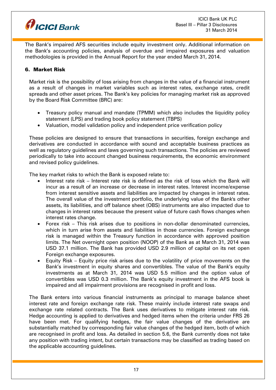

The Bank's impaired AFS securities include equity investment only. Additional information on the Bank's accounting policies, analysis of overdue and impaired exposures and valuation methodologies is provided in the Annual Report for the year ended March 31, 2014.

## 6. Market Risk

Market risk is the possibility of loss arising from changes in the value of a financial instrument as a result of changes in market variables such as interest rates, exchange rates, credit spreads and other asset prices. The Bank's key policies for managing market risk as approved by the Board Risk Committee (BRC) are:

- Treasury policy manual and mandate (TPMM) which also includes the liquidity policy statement (LPS) and trading book policy statement (TBPS)
- Valuation, model validation policy and independent price verification policy

These policies are designed to ensure that transactions in securities, foreign exchange and derivatives are conducted in accordance with sound and acceptable business practices as well as regulatory guidelines and laws governing such transactions. The policies are reviewed periodically to take into account changed business requirements, the economic environment and revised policy guidelines.

The key market risks to which the Bank is exposed relate to:

- Interest rate risk Interest rate risk is defined as the risk of loss which the Bank will incur as a result of an increase or decrease in interest rates. Interest income/expense from interest sensitive assets and liabilities are impacted by changes in interest rates. The overall value of the investment portfolio, the underlying value of the Bank's other assets, its liabilities, and off balance sheet (OBS) instruments are also impacted due to changes in interest rates because the present value of future cash flows changes when interest rates change.
- Forex risk This risk arises due to positions in non-dollar denominated currencies, which in turn arise from assets and liabilities in those currencies. Foreign exchange risk is managed within the Treasury function in accordance with approved position limits. The Net overnight open position (NOOP) of the Bank as at March 31, 2014 was USD 37.1 million. The Bank has provided USD 2.9 million of capital on its net open Foreign exchange exposures.
- Equity Risk Equity price risk arises due to the volatility of price movements on the Bank's investment in equity shares and convertibles. The value of the Bank's equity investments as at March 31, 2014 was USD 5.5 million and the option value of convertibles was USD 0.3 million. The Bank's equity investment in the AFS book is impaired and all impairment provisions are recognised in profit and loss.

The Bank enters into various financial instruments as principal to manage balance sheet interest rate and foreign exchange rate risk. These mainly include interest rate swaps and exchange rate related contracts. The Bank uses derivatives to mitigate interest rate risk. Hedge accounting is applied to derivatives and hedged items when the criteria under FRS 26 have been met. For qualifying hedges, the fair value changes of the derivative are substantially matched by corresponding fair value changes of the hedged item, both of which are recognised in profit and loss. As detailed in section 5.6, the Bank currently does not take any position with trading intent, but certain transactions may be classified as trading based on the applicable accounting guidelines.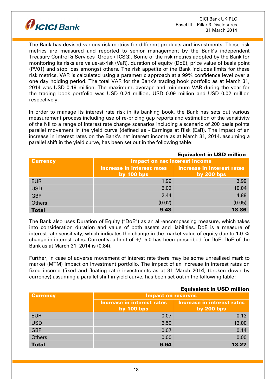

The Bank has devised various risk metrics for different products and investments. These risk metrics are measured and reported to senior management by the Bank's independent Treasury Control & Services Group (TCSG). Some of the risk metrics adopted by the Bank for monitoring its risks are value-at-risk (VaR), duration of equity (DoE), price value of basis point (PV01) and stop loss amongst others. The risk appetite of the Bank includes limits for these risk metrics. VAR is calculated using a parametric approach at a 99% confidence level over a one day holding period. The total VAR for the Bank's trading book portfolio as at March 31, 2014 was USD 0.19 million. The maximum, average and minimum VAR during the year for the trading book portfolio was USD 0.24 million, USD 0.09 million and USD 0.02 million respectively.

In order to manage its interest rate risk in its banking book, the Bank has sets out various measurement process including use of re-pricing gap reports and estimation of the sensitivity of the NII to a range of interest rate change scenarios including a scenario of 200 basis points parallel movement in the yield curve (defined as - Earnings at Risk (EaR). The impact of an increase in interest rates on the Bank's net interest income as at March 31, 2014, assuming a parallel shift in the yield curve, has been set out in the following table:

| <b>Currency</b> | Impact on net interest income              |                                                   |  |
|-----------------|--------------------------------------------|---------------------------------------------------|--|
|                 | Increase in interest rates<br>by $100$ bps | <b>Increase in interest rates</b><br>by $200$ bps |  |
| <b>EUR</b>      | 1.99                                       | 3.99                                              |  |
| <b>USD</b>      | 5.02                                       | 10.04                                             |  |
| <b>GBP</b>      | 2.44                                       | 4.88                                              |  |
| <b>Others</b>   | (0.02)                                     | (0.05)                                            |  |
| <b>Total</b>    | 9.43                                       | 18.86                                             |  |

The Bank also uses Duration of Equity ("DoE") as an all-encompassing measure, which takes into consideration duration and value of both assets and liabilities. DoE is a measure of interest rate sensitivity, which indicates the change in the market value of equity due to 1.0 % change in interest rates. Currently, a limit of  $+/-$  5.0 has been prescribed for DoE. DoE of the Bank as at March 31, 2014 is (0.84).

Further, in case of adverse movement of interest rate there may be some unrealised mark to market (MTM) impact on investment portfolio. The impact of an increase in interest rates on fixed income (fixed and floating rate) investments as at 31 March 2014, (broken down by currency) assuming a parallel shift in yield curve, has been set out in the following table:

|                 |                                            | <b>EQUIVAIEIIL III USD IIIIIIIUII</b>      |
|-----------------|--------------------------------------------|--------------------------------------------|
| <b>Currency</b> | <b>Impact on reserves</b>                  |                                            |
|                 | Increase in interest rates<br>by $100$ bps | Increase in interest rates<br>by $200$ bps |
| <b>EUR</b>      | 0.07                                       | 0.13                                       |
| <b>USD</b>      | 6.50                                       | 13.00                                      |
| <b>GBP</b>      | 0.07                                       | 0.14                                       |
| <b>Others</b>   | 0.00                                       | 0.00                                       |
| <b>Total</b>    | 6.64                                       | 13.27                                      |

# Equivalent in USD million

Equivalent in USD million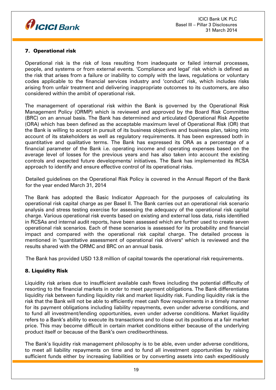

# 7. Operational risk

Operational risk is the risk of loss resulting from inadequate or failed internal processes, people, and systems or from external events. 'Compliance and legal' risk which is defined as the risk that arises from a failure or inability to comply with the laws, regulations or voluntary codes applicable to the financial services industry and 'conduct' risk, which includes risks arising from unfair treatment and delivering inappropriate outcomes to its customers, are also considered within the ambit of operational risk.

The management of operational risk within the Bank is governed by the Operational Risk Management Policy (ORMP) which is reviewed and approved by the Board Risk Committee (BRC) on an annual basis. The Bank has determined and articulated Operational Risk Appetite (ORA) which has been defined as the acceptable maximum level of Operational Risk (OR) that the Bank is willing to accept in pursuit of its business objectives and business plan, taking into account of its stakeholders as well as regulatory requirements. It has been expressed both in quantitative and qualitative terms. The Bank has expressed its ORA as a percentage of a financial parameter of the Bank i.e. operating income and operating expenses based on the average level of losses for the previous years and has also taken into account the existing controls and expected future developments/ initiatives. The Bank has implemented its RCSA approach to identify and ensure effective control of its operational risks.

Detailed guidelines on the Operational Risk Policy is covered in the Annual Report of the Bank for the year ended March 31, 2014

The Bank has adopted the Basic Indicator Approach for the purposes of calculating its operational risk capital charge as per Basel II. The Bank carries out an operational risk scenario analysis and stress testing exercise for assessing the adequacy of the operational risk capital charge. Various operational risk events based on existing and external loss data, risks identified in RCSAs and internal audit reports, have been assessed which are further used to create seven operational risk scenarios. Each of these scenarios is assessed for its probability and financial impact and compared with the operational risk capital charge. The detailed process is mentioned in "quantitative assessment of operational risk drivers" which is reviewed and the results shared with the ORMC and BRC on an annual basis.

The Bank has provided USD 13.8 million of capital towards the operational risk requirements.

## 8. Liquidity Risk

Liquidity risk arises due to insufficient available cash flows including the potential difficulty of resorting to the financial markets in order to meet payment obligations. The Bank differentiates liquidity risk between funding liquidity risk and market liquidity risk. Funding liquidity risk is the risk that the Bank will not be able to efficiently meet cash flow requirements in a timely manner for its payment obligations including liability repayments, even under adverse conditions, and to fund all investment/lending opportunities, even under adverse conditions. Market liquidity refers to a Bank's ability to execute its transactions and to close out its positions at a fair market price. This may become difficult in certain market conditions either because of the underlying product itself or because of the Bank's own creditworthiness.

The Bank's liquidity risk management philosophy is to be able, even under adverse conditions, to meet all liability repayments on time and to fund all investment opportunities by raising sufficient funds either by increasing liabilities or by converting assets into cash expeditiously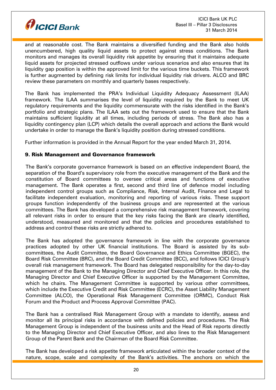

and at reasonable cost. The Bank maintains a diversified funding and the Bank also holds unencumbered, high quality liquid assets to protect against stress conditions. The Bank monitors and manages its overall liquidity risk appetite by ensuring that it maintains adequate liquid assets for projected stressed outflows under various scenarios and also ensures that its liquidity gap position is within the approved limit for the various time buckets. This framework is further augmented by defining risk limits for individual liquidity risk drivers. ALCO and BRC review these parameters on monthly and quarterly bases respectively.

The Bank has implemented the PRA's Individual Liquidity Adequacy Assessment (ILAA) framework. The ILAA summarises the level of liquidity required by the Bank to meet UK regulatory requirements and the liquidity commensurate with the risks identified in the Bank's portfolio and strategic plans. The ILAA sets out the framework used to ensure that the Bank maintains sufficient liquidity at all times, including periods of stress. The Bank also has a liquidity contingency plan (LCP) which details the overall approach and actions the Bank would undertake in order to manage the Bank's liquidity position during stressed conditions.

Further information is provided in the Annual Report for the year ended March 31, 2014.

## 9. Risk Management and Governance framework

The Bank's corporate governance framework is based on an effective independent Board, the separation of the Board's supervisory role from the executive management of the Bank and the constitution of Board committees to oversee critical areas and functions of executive management. The Bank operates a first, second and third line of defence model including independent control groups such as Compliance, Risk, Internal Audit, Finance and Legal to facilitate independent evaluation, monitoring and reporting of various risks. These support groups function independently of the business groups and are represented at the various committees. The Bank has developed a comprehensive risk management framework, covering all relevant risks in order to ensure that the key risks facing the Bank are clearly identified, understood, measured and monitored and that the policies and procedures established to address and control these risks are strictly adhered to.

The Bank has adopted the governance framework in line with the corporate governance practices adopted by other UK financial institutions. The Board is assisted by its subcommittees, the Audit Committee, the Board Governance and Ethics Committee (BGEC), the Board Risk Committee (BRC), and the Board Credit Committee (BCC), and follows ICICI Group's overall risk management framework. The Board has delegated responsibility for the day-to-day management of the Bank to the Managing Director and Chief Executive Officer. In this role, the Managing Director and Chief Executive Officer is supported by the Management Committee, which he chairs. The Management Committee is supported by various other committees, which include the Executive Credit and Risk Committee (ECRC), the Asset Liability Management Committee (ALCO), the Operational Risk Management Committee (ORMC), Conduct Risk Forum and the Product and Process Approval Committee (PAC).

The Bank has a centralised Risk Management Group with a mandate to identify, assess and monitor all its principal risks in accordance with defined policies and procedures. The Risk Management Group is independent of the business units and the Head of Risk reports directly to the Managing Director and Chief Executive Officer, and also lines to the Risk Management Group of the Parent Bank and the Chairman of the Board Risk Committee.

The Bank has developed a risk appetite framework articulated within the broader context of the nature, scope, scale and complexity of the Bank's activities. The anchors on which the